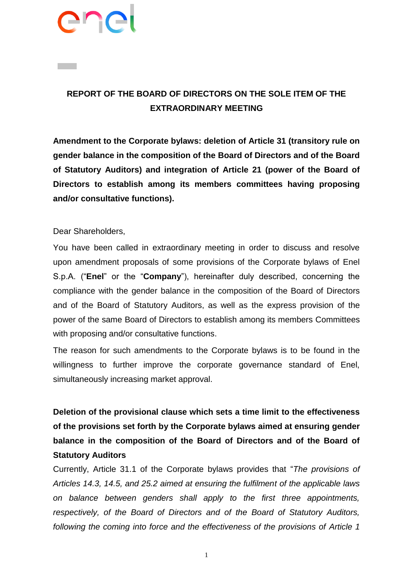# PIN

# **REPORT OF THE BOARD OF DIRECTORS ON THE SOLE ITEM OF THE EXTRAORDINARY MEETING**

**Amendment to the Corporate bylaws: deletion of Article 31 (transitory rule on gender balance in the composition of the Board of Directors and of the Board of Statutory Auditors) and integration of Article 21 (power of the Board of Directors to establish among its members committees having proposing and/or consultative functions).**

## Dear Shareholders,

You have been called in extraordinary meeting in order to discuss and resolve upon amendment proposals of some provisions of the Corporate bylaws of Enel S.p.A. ("**Enel**" or the "**Company**"), hereinafter duly described, concerning the compliance with the gender balance in the composition of the Board of Directors and of the Board of Statutory Auditors, as well as the express provision of the power of the same Board of Directors to establish among its members Committees with proposing and/or consultative functions.

The reason for such amendments to the Corporate bylaws is to be found in the willingness to further improve the corporate governance standard of Enel, simultaneously increasing market approval.

**Deletion of the provisional clause which sets a time limit to the effectiveness of the provisions set forth by the Corporate bylaws aimed at ensuring gender balance in the composition of the Board of Directors and of the Board of Statutory Auditors**

Currently, Article 31.1 of the Corporate bylaws provides that "*The provisions of Articles 14.3, 14.5, and 25.2 aimed at ensuring the fulfilment of the applicable laws on balance between genders shall apply to the first three appointments, respectively, of the Board of Directors and of the Board of Statutory Auditors, following the coming into force and the effectiveness of the provisions of Article 1* 

1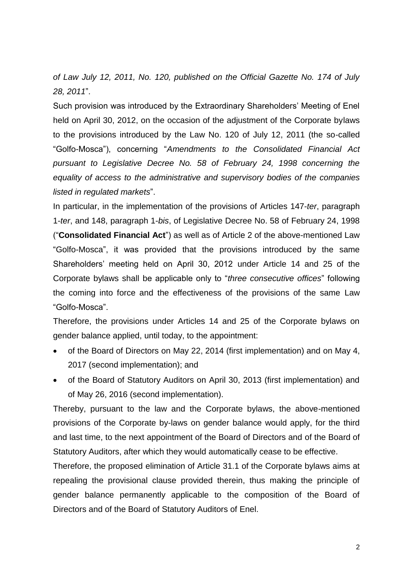*of Law July 12, 2011, No. 120, published on the Official Gazette No. 174 of July 28, 2011*".

Such provision was introduced by the Extraordinary Shareholders' Meeting of Enel held on April 30, 2012, on the occasion of the adjustment of the Corporate bylaws to the provisions introduced by the Law No. 120 of July 12, 2011 (the so-called "Golfo-Mosca"), concerning "*Amendments to the Consolidated Financial Act pursuant to Legislative Decree No. 58 of February 24, 1998 concerning the equality of access to the administrative and supervisory bodies of the companies listed in regulated markets*".

In particular, in the implementation of the provisions of Articles 147-*ter*, paragraph 1-*ter*, and 148, paragraph 1-*bis*, of Legislative Decree No. 58 of February 24, 1998 ("**Consolidated Financial Act**") as well as of Article 2 of the above-mentioned Law "Golfo-Mosca", it was provided that the provisions introduced by the same Shareholders' meeting held on April 30, 2012 under Article 14 and 25 of the Corporate bylaws shall be applicable only to "*three consecutive offices*" following the coming into force and the effectiveness of the provisions of the same Law "Golfo-Mosca".

Therefore, the provisions under Articles 14 and 25 of the Corporate bylaws on gender balance applied, until today, to the appointment:

- of the Board of Directors on May 22, 2014 (first implementation) and on May 4, 2017 (second implementation); and
- of the Board of Statutory Auditors on April 30, 2013 (first implementation) and of May 26, 2016 (second implementation).

Thereby, pursuant to the law and the Corporate bylaws, the above-mentioned provisions of the Corporate by-laws on gender balance would apply, for the third and last time, to the next appointment of the Board of Directors and of the Board of Statutory Auditors, after which they would automatically cease to be effective.

Therefore, the proposed elimination of Article 31.1 of the Corporate bylaws aims at repealing the provisional clause provided therein, thus making the principle of gender balance permanently applicable to the composition of the Board of Directors and of the Board of Statutory Auditors of Enel.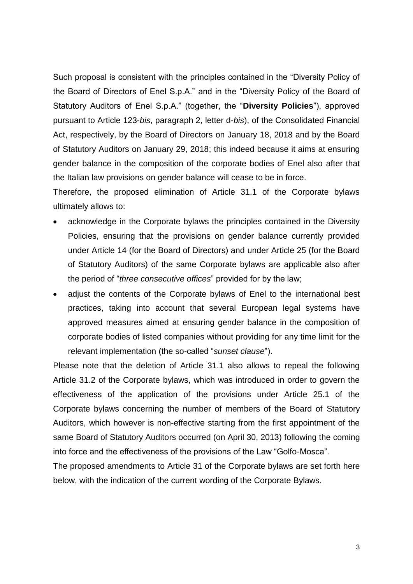Such proposal is consistent with the principles contained in the "Diversity Policy of the Board of Directors of Enel S.p.A." and in the "Diversity Policy of the Board of Statutory Auditors of Enel S.p.A." (together, the "**Diversity Policies**"), approved pursuant to Article 123-*bis*, paragraph 2, letter d-*bis*), of the Consolidated Financial Act, respectively, by the Board of Directors on January 18, 2018 and by the Board of Statutory Auditors on January 29, 2018; this indeed because it aims at ensuring gender balance in the composition of the corporate bodies of Enel also after that the Italian law provisions on gender balance will cease to be in force.

Therefore, the proposed elimination of Article 31.1 of the Corporate bylaws ultimately allows to:

- acknowledge in the Corporate bylaws the principles contained in the Diversity Policies, ensuring that the provisions on gender balance currently provided under Article 14 (for the Board of Directors) and under Article 25 (for the Board of Statutory Auditors) of the same Corporate bylaws are applicable also after the period of "*three consecutive offices*" provided for by the law;
- adjust the contents of the Corporate bylaws of Enel to the international best practices, taking into account that several European legal systems have approved measures aimed at ensuring gender balance in the composition of corporate bodies of listed companies without providing for any time limit for the relevant implementation (the so-called "*sunset clause*").

Please note that the deletion of Article 31.1 also allows to repeal the following Article 31.2 of the Corporate bylaws, which was introduced in order to govern the effectiveness of the application of the provisions under Article 25.1 of the Corporate bylaws concerning the number of members of the Board of Statutory Auditors, which however is non-effective starting from the first appointment of the same Board of Statutory Auditors occurred (on April 30, 2013) following the coming into force and the effectiveness of the provisions of the Law "Golfo-Mosca".

The proposed amendments to Article 31 of the Corporate bylaws are set forth here below, with the indication of the current wording of the Corporate Bylaws.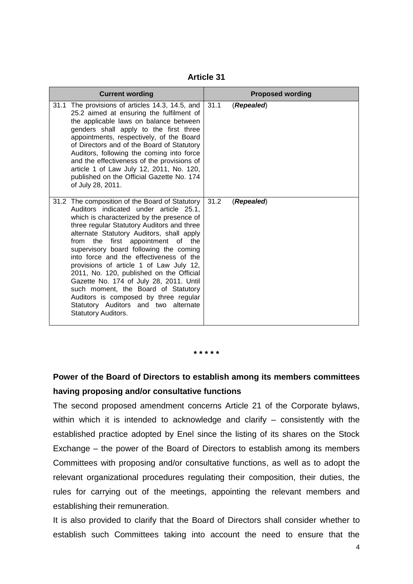**Article 31**

| <b>Current wording</b> |                                                                                                                                                                                                                                                                                                                                                                                                                                                                                                                                                                                                                                        |      | <b>Proposed wording</b> |  |
|------------------------|----------------------------------------------------------------------------------------------------------------------------------------------------------------------------------------------------------------------------------------------------------------------------------------------------------------------------------------------------------------------------------------------------------------------------------------------------------------------------------------------------------------------------------------------------------------------------------------------------------------------------------------|------|-------------------------|--|
|                        | 31.1 The provisions of articles 14.3, 14.5, and<br>25.2 aimed at ensuring the fulfilment of<br>the applicable laws on balance between<br>genders shall apply to the first three<br>appointments, respectively, of the Board<br>of Directors and of the Board of Statutory<br>Auditors, following the coming into force<br>and the effectiveness of the provisions of<br>article 1 of Law July 12, 2011, No. 120,<br>published on the Official Gazette No. 174<br>of July 28, 2011.                                                                                                                                                     | 31.1 | (Repealed)              |  |
| from                   | 31.2 The composition of the Board of Statutory<br>Auditors indicated under article 25.1,<br>which is characterized by the presence of<br>three regular Statutory Auditors and three<br>alternate Statutory Auditors, shall apply<br>the first appointment of the<br>supervisory board following the coming<br>into force and the effectiveness of the<br>provisions of article 1 of Law July 12,<br>2011, No. 120, published on the Official<br>Gazette No. 174 of July 28, 2011. Until<br>such moment, the Board of Statutory<br>Auditors is composed by three regular<br>Statutory Auditors and two alternate<br>Statutory Auditors. | 31.2 | (Repealed)              |  |

**\* \* \* \* \***

## **Power of the Board of Directors to establish among its members committees having proposing and/or consultative functions**

The second proposed amendment concerns Article 21 of the Corporate bylaws, within which it is intended to acknowledge and clarify – consistently with the established practice adopted by Enel since the listing of its shares on the Stock Exchange – the power of the Board of Directors to establish among its members Committees with proposing and/or consultative functions, as well as to adopt the relevant organizational procedures regulating their composition, their duties, the rules for carrying out of the meetings, appointing the relevant members and establishing their remuneration.

It is also provided to clarify that the Board of Directors shall consider whether to establish such Committees taking into account the need to ensure that the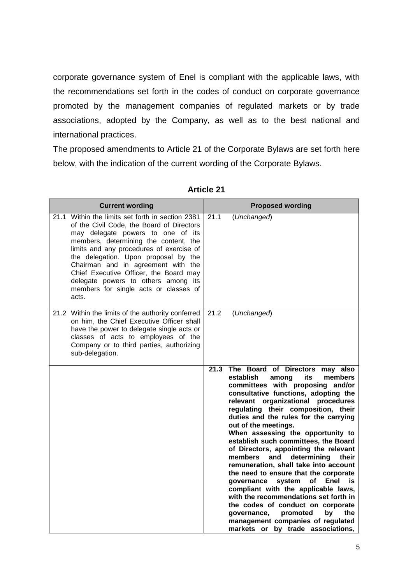corporate governance system of Enel is compliant with the applicable laws, with the recommendations set forth in the codes of conduct on corporate governance promoted by the management companies of regulated markets or by trade associations, adopted by the Company, as well as to the best national and international practices.

The proposed amendments to Article 21 of the Corporate Bylaws are set forth here below, with the indication of the current wording of the Corporate Bylaws.

| <b>Current wording</b>                                                                                                                                                                                                                                                                                                                                                                                                                   |      | <b>Proposed wording</b>                                                                                                                                                                                                                                                                                                                                                                                                                                                                                                                                                                                                                                                                                                                                                                                                                               |
|------------------------------------------------------------------------------------------------------------------------------------------------------------------------------------------------------------------------------------------------------------------------------------------------------------------------------------------------------------------------------------------------------------------------------------------|------|-------------------------------------------------------------------------------------------------------------------------------------------------------------------------------------------------------------------------------------------------------------------------------------------------------------------------------------------------------------------------------------------------------------------------------------------------------------------------------------------------------------------------------------------------------------------------------------------------------------------------------------------------------------------------------------------------------------------------------------------------------------------------------------------------------------------------------------------------------|
| 21.1 Within the limits set forth in section 2381<br>of the Civil Code, the Board of Directors<br>may delegate powers to one of its<br>members, determining the content, the<br>limits and any procedures of exercise of<br>the delegation. Upon proposal by the<br>Chairman and in agreement with the<br>Chief Executive Officer, the Board may<br>delegate powers to others among its<br>members for single acts or classes of<br>acts. | 21.1 | (Unchanged)                                                                                                                                                                                                                                                                                                                                                                                                                                                                                                                                                                                                                                                                                                                                                                                                                                           |
| 21.2 Within the limits of the authority conferred<br>on him, the Chief Executive Officer shall<br>have the power to delegate single acts or<br>classes of acts to employees of the<br>Company or to third parties, authorizing<br>sub-delegation.                                                                                                                                                                                        | 21.2 | (Unchanged)                                                                                                                                                                                                                                                                                                                                                                                                                                                                                                                                                                                                                                                                                                                                                                                                                                           |
|                                                                                                                                                                                                                                                                                                                                                                                                                                          |      | 21.3 The Board of Directors<br>may also<br>establish<br>its<br>members<br>among<br>committees with proposing and/or<br>consultative functions, adopting the<br>relevant organizational procedures<br>regulating their composition, their<br>duties and the rules for the carrying<br>out of the meetings.<br>When assessing the opportunity to<br>establish such committees, the Board<br>of Directors, appointing the relevant<br>determining<br>members<br>and<br>their<br>remuneration, shall take into account<br>the need to ensure that the corporate<br>system<br><b>Enel</b><br>governance<br>οf<br>is<br>compliant with the applicable laws,<br>with the recommendations set forth in<br>the codes of conduct on corporate<br>governance,<br>promoted<br>bv<br>the<br>management companies of regulated<br>markets or by trade associations, |

### **Article 21**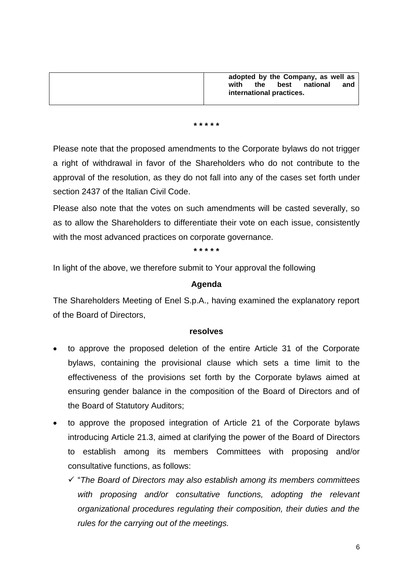| adopted by the Company, as well as     |
|----------------------------------------|
| national<br>best<br>the<br>with<br>and |
| international practices.               |
|                                        |

#### **\* \* \* \* \***

Please note that the proposed amendments to the Corporate bylaws do not trigger a right of withdrawal in favor of the Shareholders who do not contribute to the approval of the resolution, as they do not fall into any of the cases set forth under section 2437 of the Italian Civil Code.

Please also note that the votes on such amendments will be casted severally, so as to allow the Shareholders to differentiate their vote on each issue, consistently with the most advanced practices on corporate governance.

#### **\* \* \* \* \***

In light of the above, we therefore submit to Your approval the following

#### **Agenda**

The Shareholders Meeting of Enel S.p.A., having examined the explanatory report of the Board of Directors,

#### **resolves**

- to approve the proposed deletion of the entire Article 31 of the Corporate bylaws, containing the provisional clause which sets a time limit to the effectiveness of the provisions set forth by the Corporate bylaws aimed at ensuring gender balance in the composition of the Board of Directors and of the Board of Statutory Auditors;
- to approve the proposed integration of Article 21 of the Corporate bylaws introducing Article 21.3, aimed at clarifying the power of the Board of Directors to establish among its members Committees with proposing and/or consultative functions, as follows:
	- "*The Board of Directors may also establish among its members committees*  with proposing and/or consultative functions, adopting the relevant *organizational procedures regulating their composition, their duties and the rules for the carrying out of the meetings.*